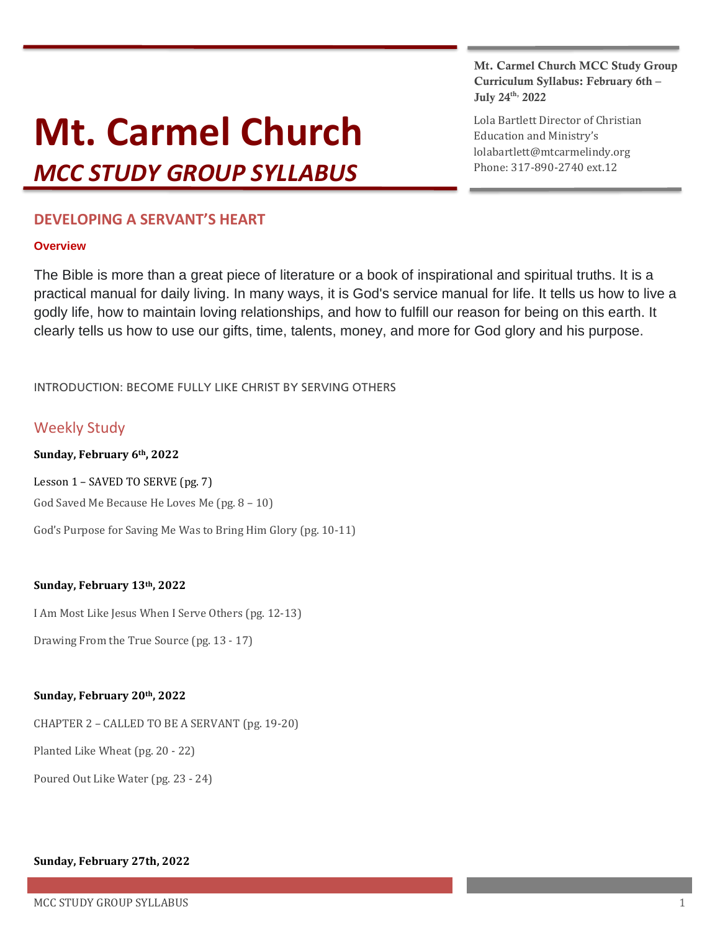# **Mt. Carmel Church**

*MCC STUDY GROUP SYLLABUS*

# **DEVELOPING A SERVANT'S HEART**

# **Overview**

The Bible is more than a great piece of literature or a book of inspirational and spiritual truths. It is a practical manual for daily living. In many ways, it is God's service manual for life. It tells us how to live a godly life, how to maintain loving relationships, and how to fulfill our reason for being on this earth. It clearly tells us how to use our gifts, time, talents, money, and more for God glory and his purpose.

INTRODUCTION: BECOME FULLY LIKE CHRIST BY SERVING OTHERS

# Weekly Study

**Sunday, February 6th, 2022**

Lesson 1 – SAVED TO SERVE (pg. 7) God Saved Me Because He Loves Me (pg. 8 – 10)

God's Purpose for Saving Me Was to Bring Him Glory (pg. 10-11)

# **Sunday, February 13th, 2022**

I Am Most Like Jesus When I Serve Others (pg. 12-13)

Drawing From the True Source (pg. 13 - 17)

# **Sunday, February 20th, 2022**

CHAPTER 2 – CALLED TO BE A SERVANT (pg. 19-20)

Planted Like Wheat (pg. 20 - 22)

Poured Out Like Water (pg. 23 - 24)

# **Sunday, February 27th, 2022**

# Mt. Carmel Church MCC Study Group Curriculum Syllabus: February 6th – July 24<sup>th,</sup> 2022

Lola Bartlett Director of Christian Education and Ministry's lolabartlett@mtcarmelindy.org Phone: 317-890-2740 ext.12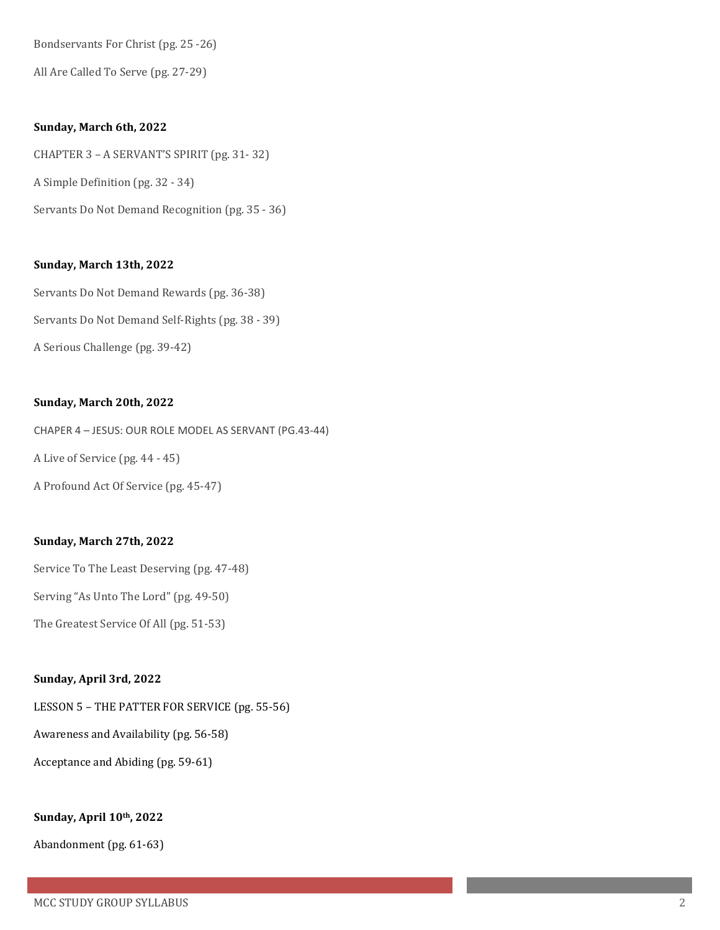Bondservants For Christ (pg. 25 -26)

All Are Called To Serve (pg. 27-29)

#### **Sunday, March 6th, 2022**

CHAPTER 3 – A SERVANT'S SPIRIT (pg. 31- 32) A Simple Definition (pg. 32 - 34) Servants Do Not Demand Recognition (pg. 35 - 36)

## **Sunday, March 13th, 2022**

Servants Do Not Demand Rewards (pg. 36-38) Servants Do Not Demand Self-Rights (pg. 38 - 39) A Serious Challenge (pg. 39-42)

#### **Sunday, March 20th, 2022**

CHAPER 4 – JESUS: OUR ROLE MODEL AS SERVANT (PG.43-44) A Live of Service (pg. 44 - 45) A Profound Act Of Service (pg. 45-47)

## **Sunday, March 27th, 2022**

Service To The Least Deserving (pg. 47-48)

Serving "As Unto The Lord" (pg. 49-50)

The Greatest Service Of All (pg. 51-53)

## **Sunday, April 3rd, 2022**

LESSON 5 – THE PATTER FOR SERVICE (pg. 55-56)

Awareness and Availability (pg. 56-58)

Acceptance and Abiding (pg. 59-61)

#### **Sunday, April 10th, 2022**

Abandonment (pg. 61-63)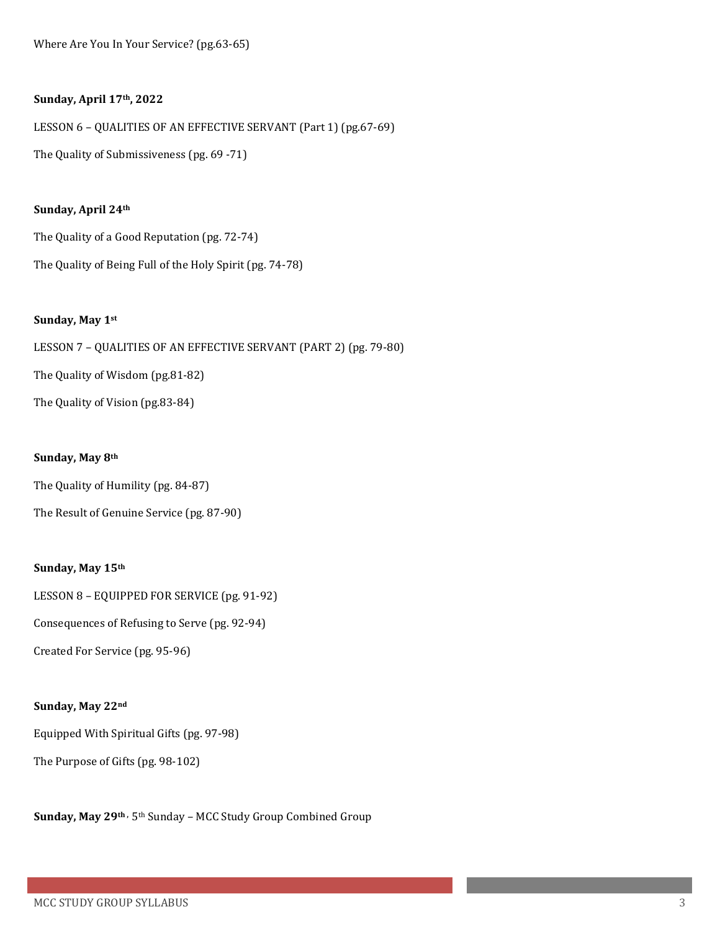Where Are You In Your Service? (pg.63-65)

#### **Sunday, April 17th, 2022**

LESSON 6 – QUALITIES OF AN EFFECTIVE SERVANT (Part 1) (pg.67-69) The Quality of Submissiveness (pg. 69 -71)

## **Sunday, April 24th**

The Quality of a Good Reputation (pg. 72-74) The Quality of Being Full of the Holy Spirit (pg. 74-78)

### **Sunday, May 1st**

LESSON 7 – QUALITIES OF AN EFFECTIVE SERVANT (PART 2) (pg. 79-80) The Quality of Wisdom (pg.81-82) The Quality of Vision (pg.83-84)

## **Sunday, May 8th**

The Quality of Humility (pg. 84-87)

The Result of Genuine Service (pg. 87-90)

## **Sunday, May 15th**

LESSON 8 – EQUIPPED FOR SERVICE (pg. 91-92)

Consequences of Refusing to Serve (pg. 92-94)

Created For Service (pg. 95-96)

### **Sunday, May 22nd**

Equipped With Spiritual Gifts (pg. 97-98)

The Purpose of Gifts (pg. 98-102)

**Sunday, May 29th ,** 5th Sunday – MCC Study Group Combined Group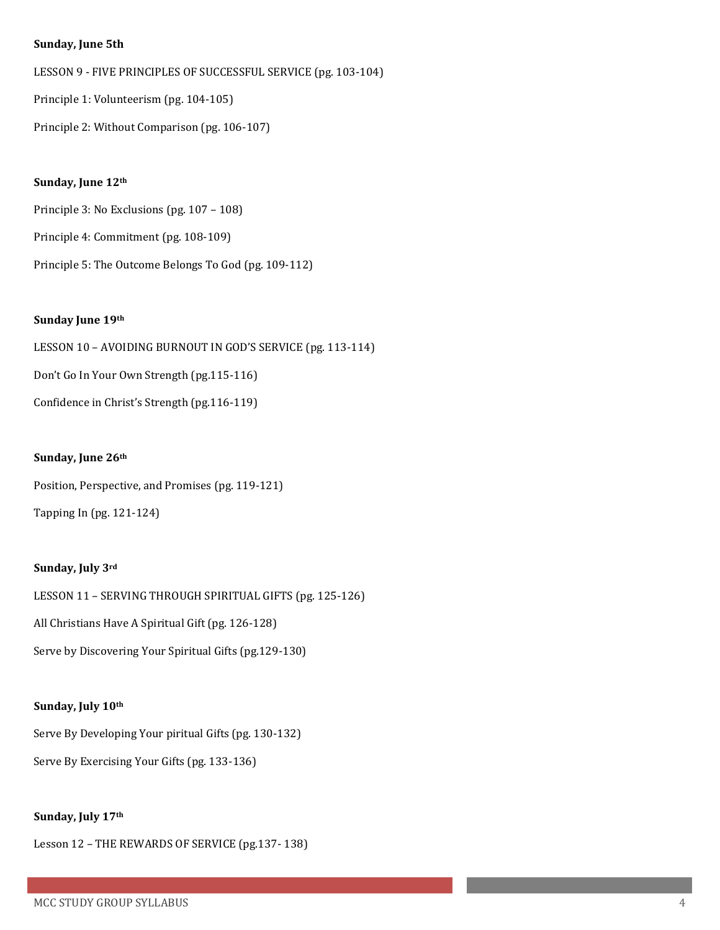#### **Sunday, June 5th**

LESSON 9 - FIVE PRINCIPLES OF SUCCESSFUL SERVICE (pg. 103-104)

Principle 1: Volunteerism (pg. 104-105)

Principle 2: Without Comparison (pg. 106-107)

#### **Sunday, June 12th**

Principle 3: No Exclusions (pg. 107 – 108)

- Principle 4: Commitment (pg. 108-109)
- Principle 5: The Outcome Belongs To God (pg. 109-112)

### **Sunday June 19th**

LESSON 10 – AVOIDING BURNOUT IN GOD'S SERVICE (pg. 113-114) Don't Go In Your Own Strength (pg.115-116) Confidence in Christ's Strength (pg.116-119)

#### **Sunday, June 26th**

Position, Perspective, and Promises (pg. 119-121)

Tapping In (pg. 121-124)

## **Sunday, July 3rd**

LESSON 11 – SERVING THROUGH SPIRITUAL GIFTS (pg. 125-126) All Christians Have A Spiritual Gift (pg. 126-128) Serve by Discovering Your Spiritual Gifts (pg.129-130)

#### **Sunday, July 10th**

Serve By Developing Your piritual Gifts (pg. 130-132) Serve By Exercising Your Gifts (pg. 133-136)

#### **Sunday, July 17th**

Lesson 12 – THE REWARDS OF SERVICE (pg.137- 138)